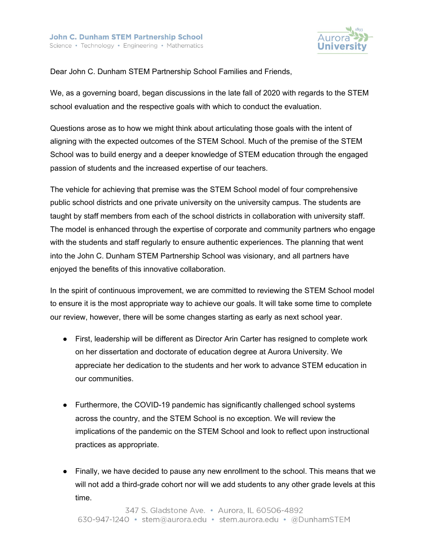

Dear John C. Dunham STEM Partnership School Families and Friends,

We, as a governing board, began discussions in the late fall of 2020 with regards to the STEM school evaluation and the respective goals with which to conduct the evaluation.

Questions arose as to how we might think about articulating those goals with the intent of aligning with the expected outcomes of the STEM School. Much of the premise of the STEM School was to build energy and a deeper knowledge of STEM education through the engaged passion of students and the increased expertise of our teachers.

The vehicle for achieving that premise was the STEM School model of four comprehensive public school districts and one private university on the university campus. The students are taught by staff members from each of the school districts in collaboration with university staff. The model is enhanced through the expertise of corporate and community partners who engage with the students and staff regularly to ensure authentic experiences. The planning that went into the John C. Dunham STEM Partnership School was visionary, and all partners have enjoyed the benefits of this innovative collaboration.

In the spirit of continuous improvement, we are committed to reviewing the STEM School model to ensure it is the most appropriate way to achieve our goals. It will take some time to complete our review, however, there will be some changes starting as early as next school year.

- First, leadership will be different as Director Arin Carter has resigned to complete work on her dissertation and doctorate of education degree at Aurora University. We appreciate her dedication to the students and her work to advance STEM education in our communities.
- Furthermore, the COVID-19 pandemic has significantly challenged school systems across the country, and the STEM School is no exception. We will review the implications of the pandemic on the STEM School and look to reflect upon instructional practices as appropriate.
- Finally, we have decided to pause any new enrollment to the school. This means that we will not add a third-grade cohort nor will we add students to any other grade levels at this time.

```
347 S. Gladstone Ave. . Aurora, IL 60506-4892
630-947-1240 · stem@aurora.edu · stem.aurora.edu · @DunhamSTEM
```